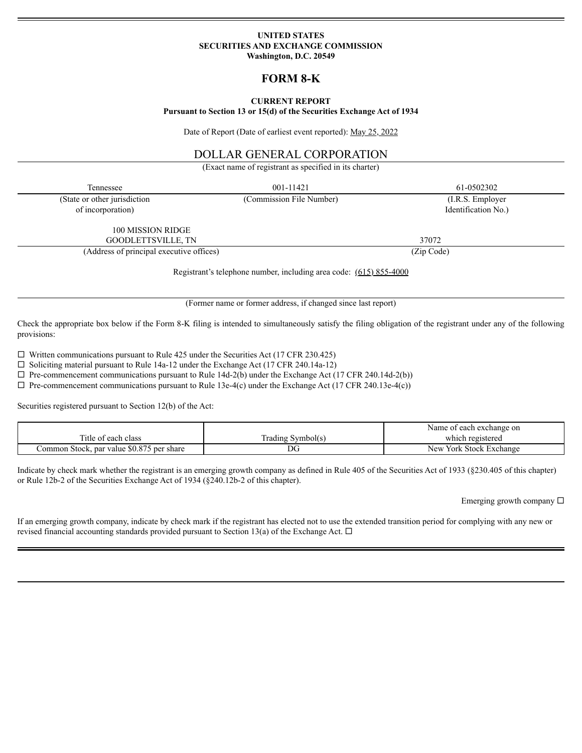### **UNITED STATES SECURITIES AND EXCHANGE COMMISSION Washington, D.C. 20549**

# **FORM 8-K**

### **CURRENT REPORT**

#### **Pursuant to Section 13 or 15(d) of the Securities Exchange Act of 1934**

Date of Report (Date of earliest event reported): May 25, 2022

# DOLLAR GENERAL CORPORATION

(Exact name of registrant as specified in its charter)

| Tennessee                                                          | 001-11421                | 61-0502302          |  |
|--------------------------------------------------------------------|--------------------------|---------------------|--|
| (State or other jurisdiction                                       | (Commission File Number) | $(I.R.S.$ Employer  |  |
| of incorporation)                                                  |                          | Identification No.) |  |
| 100 MISSION RIDGE                                                  |                          |                     |  |
| GOODLETTSVILLE, TN                                                 |                          | 37072               |  |
| (Address of principal executive offices)                           |                          | (Zip Code)          |  |
| Registrant's telephone number, including area code: (615) 855-4000 |                          |                     |  |

(Former name or former address, if changed since last report)

Check the appropriate box below if the Form 8-K filing is intended to simultaneously satisfy the filing obligation of the registrant under any of the following provisions:

 $\Box$  Written communications pursuant to Rule 425 under the Securities Act (17 CFR 230.425)

 $\square$  Soliciting material pursuant to Rule 14a-12 under the Exchange Act (17 CFR 240.14a-12)

 $\Box$  Pre-commencement communications pursuant to Rule 14d-2(b) under the Exchange Act (17 CFR 240.14d-2(b))

 $\Box$  Pre-commencement communications pursuant to Rule 13e-4(c) under the Exchange Act (17 CFR 240.13e-4(c))

Securities registered pursuant to Section 12(b) of the Act:

|                                           |                   | Name of each exchange on          |
|-------------------------------------------|-------------------|-----------------------------------|
| Title of each class                       | (rading Symbol(s) | which registered                  |
| Common Stock, par value \$0.875 per share | DG                | York Stock Exchange<br><b>New</b> |

Indicate by check mark whether the registrant is an emerging growth company as defined in Rule 405 of the Securities Act of 1933 (§230.405 of this chapter) or Rule 12b-2 of the Securities Exchange Act of 1934 (§240.12b-2 of this chapter).

Emerging growth company  $\square$ 

If an emerging growth company, indicate by check mark if the registrant has elected not to use the extended transition period for complying with any new or revised financial accounting standards provided pursuant to Section 13(a) of the Exchange Act.  $\Box$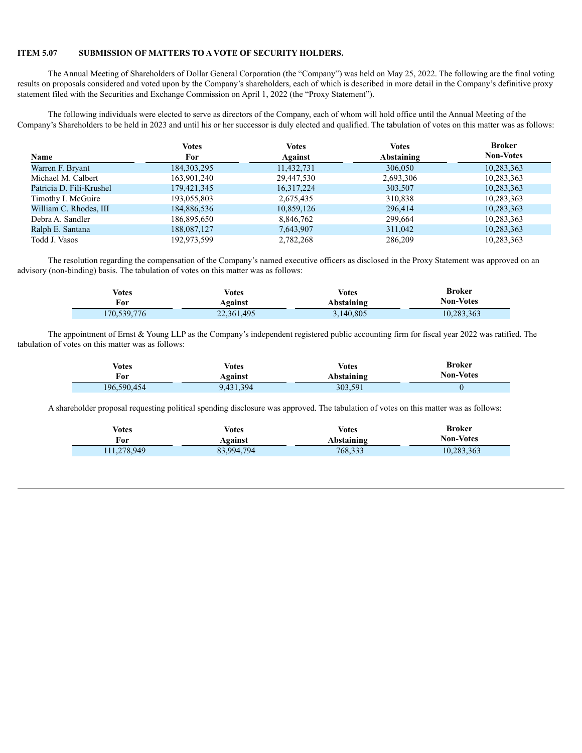#### **ITEM 5.07 SUBMISSION OF MATTERS TO A VOTE OF SECURITY HOLDERS.**

The Annual Meeting of Shareholders of Dollar General Corporation (the "Company") was held on May 25, 2022. The following are the final voting results on proposals considered and voted upon by the Company's shareholders, each of which is described in more detail in the Company's definitive proxy statement filed with the Securities and Exchange Commission on April 1, 2022 (the "Proxy Statement").

The following individuals were elected to serve as directors of the Company, each of whom will hold office until the Annual Meeting of the Company's Shareholders to be held in 2023 and until his or her successor is duly elected and qualified. The tabulation of votes on this matter was as follows:

|                          | Votes         | <b>Votes</b> | <b>Votes</b> | <b>Broker</b>    |
|--------------------------|---------------|--------------|--------------|------------------|
| <b>Name</b>              | For           | Against      | Abstaining   | <b>Non-Votes</b> |
| Warren F. Bryant         | 184, 303, 295 | 11,432,731   | 306,050      | 10,283,363       |
| Michael M. Calbert       | 163,901,240   | 29,447,530   | 2,693,306    | 10,283,363       |
| Patricia D. Fili-Krushel | 179,421,345   | 16,317,224   | 303,507      | 10,283,363       |
| Timothy I. McGuire       | 193,055,803   | 2,675,435    | 310,838      | 10,283,363       |
| William C. Rhodes, III   | 184,886,536   | 10,859,126   | 296,414      | 10,283,363       |
| Debra A. Sandler         | 186,895,650   | 8,846,762    | 299,664      | 10,283,363       |
| Ralph E. Santana         | 188,087,127   | 7,643,907    | 311,042      | 10,283,363       |
| Todd J. Vasos            | 192,973,599   | 2,782,268    | 286,209      | 10,283,363       |

The resolution regarding the compensation of the Company's named executive officers as disclosed in the Proxy Statement was approved on an advisory (non-binding) basis. The tabulation of votes on this matter was as follows:

| Votes       | <b>Votes</b> | <b>Votes</b> | <b>Broker</b> |
|-------------|--------------|--------------|---------------|
| For         | Against      | Abstaining   | Non-Votes     |
| 170,539,776 | 22,361,495   | 3,140,805    | 10,283,363    |

The appointment of Ernst & Young LLP as the Company's independent registered public accounting firm for fiscal year 2022 was ratified. The tabulation of votes on this matter was as follows:

| Votes          | Votes     | <b>Votes</b> | <b>Broker</b>    |  |
|----------------|-----------|--------------|------------------|--|
| For<br>Against |           | Abstaining   | <b>Non-Votes</b> |  |
| 196,590,454    | 9,431,394 | 303,591      |                  |  |

A shareholder proposal requesting political spending disclosure was approved. The tabulation of votes on this matter was as follows:

| Votes<br>Votes<br>For<br>Against |            | <b>Votes</b><br>Abstaining | <b>Broker</b><br><b>Non-Votes</b> |
|----------------------------------|------------|----------------------------|-----------------------------------|
| 111,278,949                      | 83,994,794 | 768,333                    | 10,283,363                        |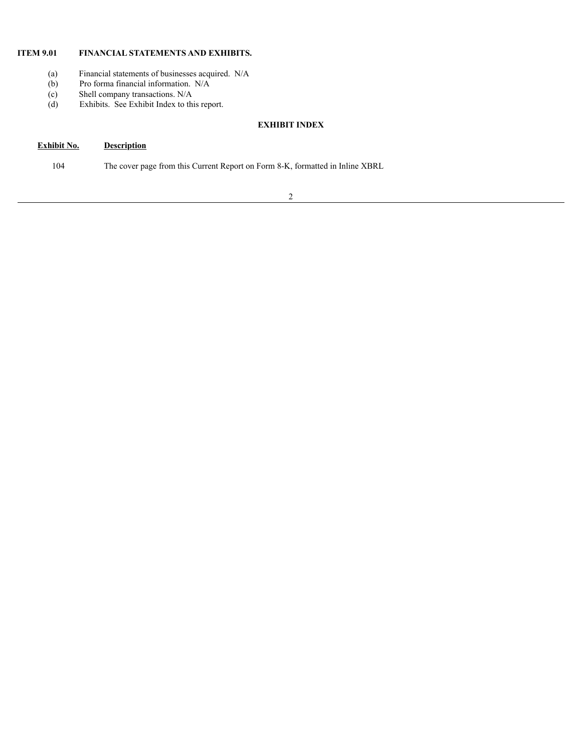# **ITEM 9.01 FINANCIAL STATEMENTS AND EXHIBITS.**

- (a) Financial statements of businesses acquired. N/A
- (b) Pro forma financial information. N/A
- 
- (c) Shell company transactions. N/A<br>(d) Exhibits. See Exhibit Index to thi Exhibits. See Exhibit Index to this report.

# **EXHIBIT INDEX**

# **Exhibit No. Description**

104 The cover page from this Current Report on Form 8-K, formatted in Inline XBRL

2